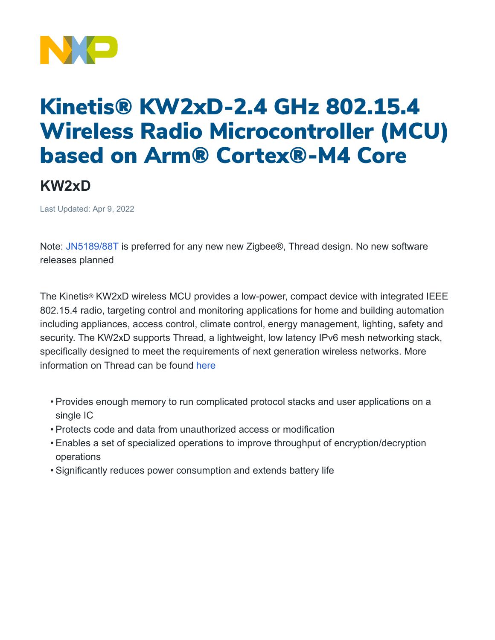

## Kinetis® KW2xD-2.4 GHz 802.15.4 Wireless Radio Microcontroller (MCU) based on Arm® Cortex®-M4 Core

## **KW2xD**

Last Updated: Apr 9, 2022

Note: [JN5189/88T](https://www.nxp.com/products/wireless/thread/jn5189-88-t-high-performance-and-ultra-low-power-mcus-for-zigbee-and-thread-with-built-in-nfc-option:JN5189_88_T) is preferred for any new new Zigbee®, Thread design. No new software releases planned

The Kinetis® KW2xD wireless MCU provides a low-power, compact device with integrated IEEE 802.15.4 radio, targeting control and monitoring applications for home and building automation including appliances, access control, climate control, energy management, lighting, safety and security. The KW2xD supports Thread, a lightweight, low latency IPv6 mesh networking stack, specifically designed to meet the requirements of next generation wireless networks. More information on Thread can be found [here](https://www.nxp.com/products/wireless/thread/thread-networking-protocol:THREAD-NETWORKING-PROTOCOL-NXP)

- Provides enough memory to run complicated protocol stacks and user applications on a single IC
- Protects code and data from unauthorized access or modification
- Enables a set of specialized operations to improve throughput of encryption/decryption operations
- Significantly reduces power consumption and extends battery life